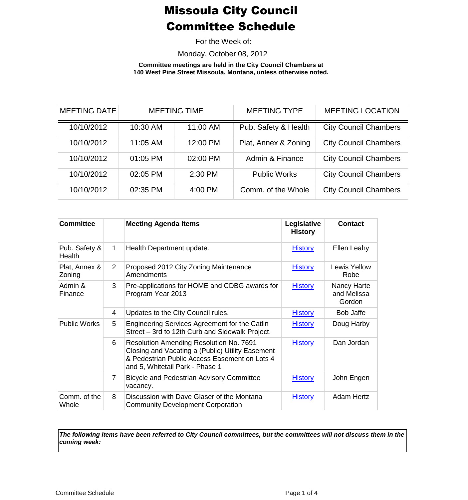For the Week of:

Monday, October 08, 2012

**Committee meetings are held in the City Council Chambers at 140 West Pine Street Missoula, Montana, unless otherwise noted.**

| <b>MEETING DATE</b> |            | <b>MEETING TIME</b> | <b>MEETING TYPE</b>  | <b>MEETING LOCATION</b>      |
|---------------------|------------|---------------------|----------------------|------------------------------|
| 10/10/2012          | 10:30 AM   | 11:00 AM            | Pub. Safety & Health | <b>City Council Chambers</b> |
| 10/10/2012          | 11:05 AM   | 12:00 PM            | Plat, Annex & Zoning | <b>City Council Chambers</b> |
| 10/10/2012          | $01:05$ PM | 02:00 PM            | Admin & Finance      | <b>City Council Chambers</b> |
| 10/10/2012          | 02:05 PM   | 2:30 PM             | <b>Public Works</b>  | <b>City Council Chambers</b> |
| 10/10/2012          | 02:35 PM   | 4:00 PM             | Comm. of the Whole   | <b>City Council Chambers</b> |

| <b>Committee</b>        |                | <b>Meeting Agenda Items</b>                                                                                                                                                            | Legislative<br><b>History</b> | <b>Contact</b>                       |
|-------------------------|----------------|----------------------------------------------------------------------------------------------------------------------------------------------------------------------------------------|-------------------------------|--------------------------------------|
| Pub. Safety &<br>Health | 1              | Health Department update.                                                                                                                                                              | <b>History</b>                | Ellen Leahy                          |
| Plat, Annex &<br>Zoning | 2              | Proposed 2012 City Zoning Maintenance<br>Amendments                                                                                                                                    | <b>History</b>                | Lewis Yellow<br>Robe                 |
| Admin &<br>Finance      | 3              | Pre-applications for HOME and CDBG awards for<br>Program Year 2013                                                                                                                     | <b>History</b>                | Nancy Harte<br>and Melissa<br>Gordon |
|                         | 4              | Updates to the City Council rules.                                                                                                                                                     | <b>History</b>                | <b>Bob Jaffe</b>                     |
| <b>Public Works</b>     | 5              | Engineering Services Agreement for the Catlin<br>Street - 3rd to 12th Curb and Sidewalk Project.                                                                                       | <b>History</b>                | Doug Harby                           |
|                         | 6              | <b>Resolution Amending Resolution No. 7691</b><br>Closing and Vacating a (Public) Utility Easement<br>& Pedestrian Public Access Easement on Lots 4<br>and 5, Whitetail Park - Phase 1 | <b>History</b>                | Dan Jordan                           |
|                         | $\overline{7}$ | <b>Bicycle and Pedestrian Advisory Committee</b><br>vacancy.                                                                                                                           | <b>History</b>                | John Engen                           |
| Comm. of the<br>Whole   | 8              | Discussion with Dave Glaser of the Montana<br><b>Community Development Corporation</b>                                                                                                 | <b>History</b>                | <b>Adam Hertz</b>                    |

*The following items have been referred to City Council committees, but the committees will not discuss them in the coming week:*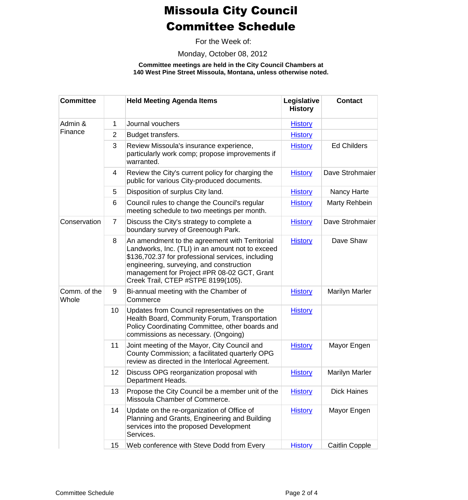For the Week of:

Monday, October 08, 2012

**Committee meetings are held in the City Council Chambers at 140 West Pine Street Missoula, Montana, unless otherwise noted.**

| <b>Committee</b>      |                | <b>Held Meeting Agenda Items</b>                                                                                                                                                                                                                                                         | Legislative<br><b>History</b> | <b>Contact</b>        |
|-----------------------|----------------|------------------------------------------------------------------------------------------------------------------------------------------------------------------------------------------------------------------------------------------------------------------------------------------|-------------------------------|-----------------------|
| Admin &<br>Finance    | 1              | Journal vouchers                                                                                                                                                                                                                                                                         | <b>History</b>                |                       |
|                       | $\overline{2}$ | Budget transfers.                                                                                                                                                                                                                                                                        | <b>History</b>                |                       |
|                       | 3              | Review Missoula's insurance experience,<br>particularly work comp; propose improvements if<br>warranted.                                                                                                                                                                                 | <b>History</b>                | <b>Ed Childers</b>    |
|                       | 4              | Review the City's current policy for charging the<br>public for various City-produced documents.                                                                                                                                                                                         | <b>History</b>                | Dave Strohmaier       |
|                       | 5              | Disposition of surplus City land.                                                                                                                                                                                                                                                        | <b>History</b>                | Nancy Harte           |
|                       | 6              | Council rules to change the Council's regular<br>meeting schedule to two meetings per month.                                                                                                                                                                                             | <b>History</b>                | Marty Rehbein         |
| Conservation          | $\overline{7}$ | Discuss the City's strategy to complete a<br>boundary survey of Greenough Park.                                                                                                                                                                                                          | <b>History</b>                | Dave Strohmaier       |
|                       | 8              | An amendment to the agreement with Territorial<br>Landworks, Inc. (TLI) in an amount not to exceed<br>\$136,702.37 for professional services, including<br>engineering, surveying, and construction<br>management for Project #PR 08-02 GCT, Grant<br>Creek Trail, CTEP #STPE 8199(105). | <b>History</b>                | Dave Shaw             |
| Comm. of the<br>Whole | 9              | Bi-annual meeting with the Chamber of<br>Commerce                                                                                                                                                                                                                                        | <b>History</b>                | <b>Marilyn Marler</b> |
|                       | 10             | Updates from Council representatives on the<br>Health Board, Community Forum, Transportation<br>Policy Coordinating Committee, other boards and<br>commissions as necessary. (Ongoing)                                                                                                   | <b>History</b>                |                       |
|                       | 11             | Joint meeting of the Mayor, City Council and<br>County Commission; a facilitated quarterly OPG<br>review as directed in the Interlocal Agreement.                                                                                                                                        | <b>History</b>                | Mayor Engen           |
|                       | 12             | Discuss OPG reorganization proposal with<br>Department Heads.                                                                                                                                                                                                                            | <b>History</b>                | <b>Marilyn Marler</b> |
|                       | 13             | Propose the City Council be a member unit of the<br>Missoula Chamber of Commerce.                                                                                                                                                                                                        | <b>History</b>                | <b>Dick Haines</b>    |
|                       | 14             | Update on the re-organization of Office of<br>Planning and Grants, Engineering and Building<br>services into the proposed Development<br>Services.                                                                                                                                       | <b>History</b>                | Mayor Engen           |
|                       | 15             | Web conference with Steve Dodd from Every                                                                                                                                                                                                                                                | <b>History</b>                | Caitlin Copple        |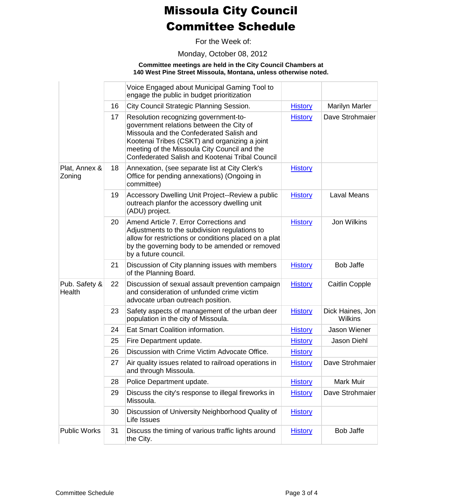For the Week of:

Monday, October 08, 2012

### **Committee meetings are held in the City Council Chambers at 140 West Pine Street Missoula, Montana, unless otherwise noted.**

|                         |    | Voice Engaged about Municipal Gaming Tool to<br>engage the public in budget prioritization                                                                                                                                                                                               |                |                                    |
|-------------------------|----|------------------------------------------------------------------------------------------------------------------------------------------------------------------------------------------------------------------------------------------------------------------------------------------|----------------|------------------------------------|
|                         | 16 | City Council Strategic Planning Session.                                                                                                                                                                                                                                                 | <b>History</b> | <b>Marilyn Marler</b>              |
|                         | 17 | Resolution recognizing government-to-<br>government relations between the City of<br>Missoula and the Confederated Salish and<br>Kootenai Tribes (CSKT) and organizing a joint<br>meeting of the Missoula City Council and the<br><b>Confederated Salish and Kootenai Tribal Council</b> | <b>History</b> | Dave Strohmaier                    |
| Plat, Annex &<br>Zoning | 18 | Annexation, (see separate list at City Clerk's<br>Office for pending annexations) (Ongoing in<br>committee)                                                                                                                                                                              | <b>History</b> |                                    |
|                         | 19 | Accessory Dwelling Unit Project--Review a public<br>outreach planfor the accessory dwelling unit<br>(ADU) project.                                                                                                                                                                       | <b>History</b> | <b>Laval Means</b>                 |
|                         | 20 | Amend Article 7. Error Corrections and<br>Adjustments to the subdivision regulations to<br>allow for restrictions or conditions placed on a plat<br>by the governing body to be amended or removed<br>by a future council.                                                               | <b>History</b> | <b>Jon Wilkins</b>                 |
|                         | 21 | Discussion of City planning issues with members<br>of the Planning Board.                                                                                                                                                                                                                | <b>History</b> | <b>Bob Jaffe</b>                   |
| Pub. Safety &<br>Health | 22 | Discussion of sexual assault prevention campaign<br>and consideration of unfunded crime victim<br>advocate urban outreach position.                                                                                                                                                      | <b>History</b> | Caitlin Copple                     |
|                         | 23 | Safety aspects of management of the urban deer<br>population in the city of Missoula.                                                                                                                                                                                                    | <b>History</b> | Dick Haines, Jon<br><b>Wilkins</b> |
|                         | 24 | Eat Smart Coalition information.                                                                                                                                                                                                                                                         | <b>History</b> | <b>Jason Wiener</b>                |
|                         | 25 | Fire Department update.                                                                                                                                                                                                                                                                  | <b>History</b> | <b>Jason Diehl</b>                 |
|                         | 26 | Discussion with Crime Victim Advocate Office.                                                                                                                                                                                                                                            | <b>History</b> |                                    |
|                         | 27 | Air quality issues related to railroad operations in<br>and through Missoula.                                                                                                                                                                                                            | <b>History</b> | Dave Strohmaier                    |
|                         | 28 | Police Department update.                                                                                                                                                                                                                                                                | <b>History</b> | Mark Muir                          |
|                         | 29 | Discuss the city's response to illegal fireworks in<br>Missoula.                                                                                                                                                                                                                         | <b>History</b> | Dave Strohmaier                    |
|                         | 30 | Discussion of University Neighborhood Quality of<br>Life Issues                                                                                                                                                                                                                          | <b>History</b> |                                    |
| <b>Public Works</b>     | 31 | Discuss the timing of various traffic lights around<br>the City.                                                                                                                                                                                                                         | <b>History</b> | <b>Bob Jaffe</b>                   |